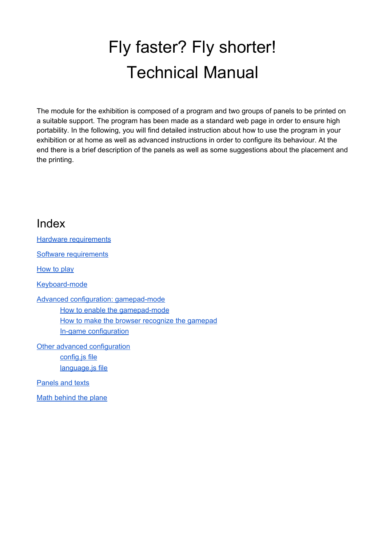# Fly faster? Fly shorter! Technical Manual

The module for the exhibition is composed of a program and two groups of panels to be printed on a suitable support. The program has been made as a standard web page in order to ensure high portability. In the following, you will find detailed instruction about how to use the program in your exhibition or at home as well as advanced instructions in order to configure its behaviour. At the end there is a brief description of the panels as well as some suggestions about the placement and the printing.

# Index

Hardware [requirements](#page-1-0)

Software [requirements](#page-1-1)

[How](#page-2-0) to play

[Keyboard-mode](#page-3-0)

Advanced configuration: [gamepad-mode](#page-3-1) How to enable the [gamepad-mode](#page-4-1) How to make the browser [recognize](#page-4-0) the gamepad In-game [configuration](#page-5-1)

Other advanced [configuration](#page-5-2)

[config.js](#page-5-0) file [language.js](#page-6-1) file

[Panels](#page-6-0) and texts

Math behind the plane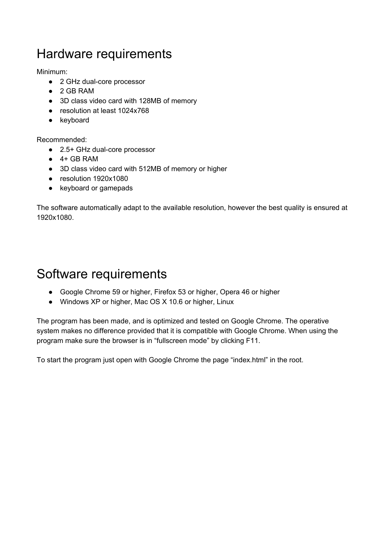# <span id="page-1-0"></span>Hardware requirements

Minimum:

- 2 GHz dual-core processor
- 2 GB RAM
- 3D class video card with 128MB of memory
- resolution at least 1024x768
- keyboard

Recommended:

- 2.5+ GHz dual-core processor
- $\bullet$  4+ GB RAM
- 3D class video card with 512MB of memory or higher
- resolution 1920x1080
- keyboard or gamepads

The software automatically adapt to the available resolution, however the best quality is ensured at 1920x1080.

# <span id="page-1-1"></span>Software requirements

- Google Chrome 59 or higher, Firefox 53 or higher, Opera 46 or higher
- Windows XP or higher, Mac OS X 10.6 or higher, Linux

The program has been made, and is optimized and tested on Google Chrome. The operative system makes no difference provided that it is compatible with Google Chrome. When using the program make sure the browser is in "fullscreen mode" by clicking F11.

To start the program just open with Google Chrome the page "index.html" in the root.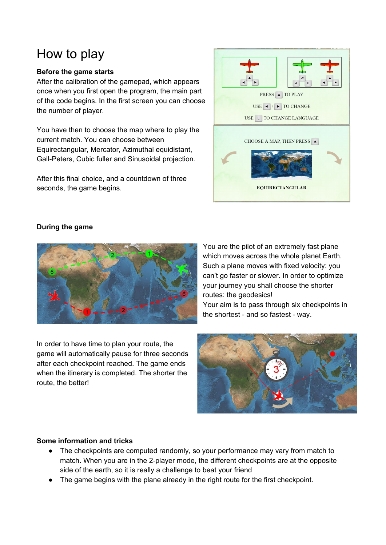# <span id="page-2-0"></span>How to play

#### **Before the game starts**

After the calibration of the gamepad, which appears once when you first open the program, the main part of the code begins. In the first screen you can choose the number of player.

You have then to choose the map where to play the current match. You can choose between Equirectangular, Mercator, Azimuthal equidistant, Gall-Peters, Cubic fuller and Sinusoidal projection.

After this final choice, and a countdown of three seconds, the game begins.



#### **During the game**



You are the pilot of an extremely fast plane which moves across the whole planet Earth. Such a plane moves with fixed velocity: you can't go faster or slower. In order to optimize your journey you shall choose the shorter routes: the geodesics!

Your aim is to pass through six checkpoints in the shortest - and so fastest - way.

In order to have time to plan your route, the game will automatically pause for three seconds after each checkpoint reached. The game ends when the itinerary is completed. The shorter the route, the better!



#### **Some information and tricks**

- The checkpoints are computed randomly, so your performance may vary from match to match. When you are in the 2-player mode, the different checkpoints are at the opposite side of the earth, so it is really a challenge to beat your friend
- **The game begins with the plane already in the right route for the first checkpoint.**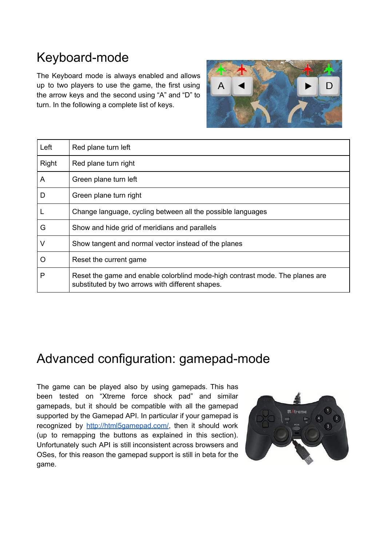# <span id="page-3-0"></span>Keyboard-mode

The Keyboard mode is always enabled and allows up to two players to use the game, the first using the arrow keys and the second using "A" and "D" to turn. In the following a complete list of keys.



| Left    | Red plane turn left                                                                                                              |
|---------|----------------------------------------------------------------------------------------------------------------------------------|
| Right   | Red plane turn right                                                                                                             |
| A       | Green plane turn left                                                                                                            |
| D       | Green plane turn right                                                                                                           |
|         | Change language, cycling between all the possible languages                                                                      |
| G       | Show and hide grid of meridians and parallels                                                                                    |
|         | Show tangent and normal vector instead of the planes                                                                             |
| $\circ$ | Reset the current game                                                                                                           |
| P       | Reset the game and enable colorblind mode-high contrast mode. The planes are<br>substituted by two arrows with different shapes. |

# <span id="page-3-1"></span>Advanced configuration: gamepad-mode

The game can be played also by using gamepads. This has been tested on "Xtreme force shock pad" and similar gamepads, but it should be compatible with all the gamepad supported by the Gamepad API. In particular if your gamepad is recognized by [http://html5gamepad.com/,](http://html5gamepad.com/) then it should work (up to remapping the buttons as explained in this section). Unfortunately such API is still inconsistent across browsers and OSes, for this reason the gamepad support is still in beta for the game.

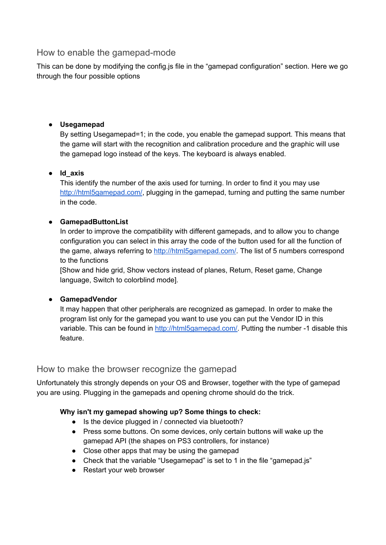# <span id="page-4-1"></span>How to enable the gamepad-mode

This can be done by modifying the config.js file in the "gamepad configuration" section. Here we go through the four possible options

### **● Usegamepad**

By setting Usegamepad=1; in the code, you enable the gamepad support. This means that the game will start with the recognition and calibration procedure and the graphic will use the gamepad logo instead of the keys. The keyboard is always enabled.

### **● Id\_axis**

This identify the number of the axis used for turning. In order to find it you may use [http://html5gamepad.com/,](http://html5gamepad.com/) plugging in the gamepad, turning and putting the same number in the code.

### **● GamepadButtonList**

In order to improve the compatibility with different gamepads, and to allow you to change configuration you can select in this array the code of the button used for all the function of the game, always referring to [http://html5gamepad.com/.](http://html5gamepad.com/) The list of 5 numbers correspond to the functions

[Show and hide grid, Show vectors instead of planes, Return, Reset game, Change language, Switch to colorblind mode].

### **● GamepadVendor**

It may happen that other peripherals are recognized as gamepad. In order to make the program list only for the gamepad you want to use you can put the Vendor ID in this variable. This can be found in [http://html5gamepad.com/.](http://html5gamepad.com/) Putting the number -1 disable this feature.

# <span id="page-4-0"></span>How to make the browser recognize the gamepad

Unfortunately this strongly depends on your OS and Browser, together with the type of gamepad you are using. Plugging in the gamepads and opening chrome should do the trick.

### **Why isn't my gamepad showing up? Some things to check:**

- Is the device plugged in / connected via bluetooth?
- Press some buttons. On some devices, only certain buttons will wake up the gamepad API (the shapes on PS3 controllers, for instance)
- Close other apps that may be using the gamepad
- Check that the variable "Usegamepad" is set to 1 in the file "gamepad.js"
- Restart your web browser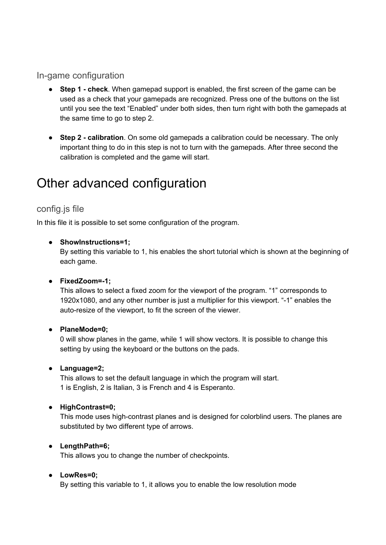### <span id="page-5-1"></span>In-game configuration

- **Step 1 - check**. When gamepad support is enabled, the first screen of the game can be used as a check that your gamepads are recognized. Press one of the buttons on the list until you see the text "Enabled" under both sides, then turn right with both the gamepads at the same time to go to step 2.
- **Step 2 - calibration**. On some old gamepads a calibration could be necessary. The only important thing to do in this step is not to turn with the gamepads. After three second the calibration is completed and the game will start.

# <span id="page-5-2"></span>Other advanced configuration

# <span id="page-5-0"></span>config.js file

In this file it is possible to set some configuration of the program.

#### **● ShowInstructions=1;**

By setting this variable to 1, his enables the short tutorial which is shown at the beginning of each game.

#### **● FixedZoom=-1;**

This allows to select a fixed zoom for the viewport of the program. "1" corresponds to 1920x1080, and any other number is just a multiplier for this viewport. "-1" enables the auto-resize of the viewport, to fit the screen of the viewer.

#### **● PlaneMode=0;**

0 will show planes in the game, while 1 will show vectors. It is possible to change this setting by using the keyboard or the buttons on the pads.

#### **● Language=2;**

This allows to set the default language in which the program will start. 1 is English, 2 is Italian, 3 is French and 4 is Esperanto.

#### **● HighContrast=0;**

This mode uses high-contrast planes and is designed for colorblind users. The planes are substituted by two different type of arrows.

#### **● LengthPath=6;**

This allows you to change the number of checkpoints.

#### **● LowRes=0;**

By setting this variable to 1, it allows you to enable the low resolution mode